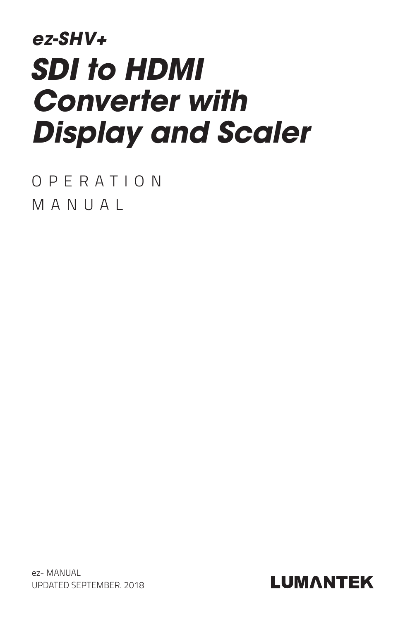# *ez-SHV+ SDI to HDMI Converter with Display and Scaler*

OPERATION MANUAL

ez- MANUAL UPDATED SEPTEMBER. 2018

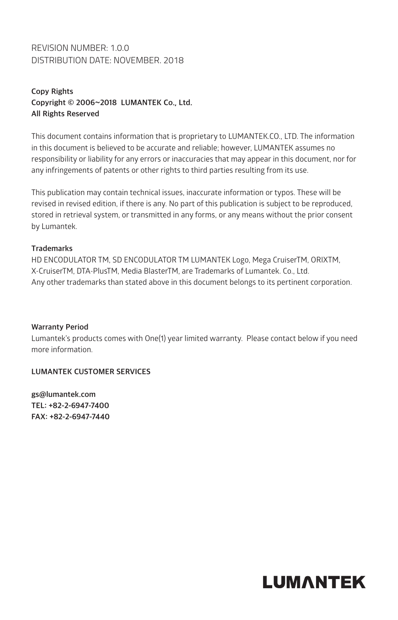### REVISION NUMBER: 1.0.0 DISTRIBUTION DATE: NOVEMBER. 2018

### **Copy Rights Copyright © 2006~2018 LUMANTEK Co., Ltd. All Rights Reserved**

This document contains information that is proprietary to LUMANTEK.CO., LTD. The information in this document is believed to be accurate and reliable; however, LUMANTEK assumes no responsibility or liability for any errors or inaccuracies that may appear in this document, nor for any infringements of patents or other rights to third parties resulting from its use.

This publication may contain technical issues, inaccurate information or typos. These will be revised in revised edition, if there is any. No part of this publication is subject to be reproduced, stored in retrieval system, or transmitted in any forms, or any means without the prior consent by Lumantek.

#### **Trademarks**

HD ENCODULATOR TM, SD ENCODULATOR TM LUMANTEK Logo, Mega CruiserTM, ORIXTM, X-CruiserTM, DTA-PlusTM, Media BlasterTM, are Trademarks of Lumantek. Co., Ltd. Any other trademarks than stated above in this document belongs to its pertinent corporation.

#### **Warranty Period**

Lumantek's products comes with One(1) year limited warranty. Please contact below if you need more information.

### **LUMANTEK CUSTOMER SERVICES**

**gs@lumantek.com TEL: +82-2-6947-7400 FAX: +82-2-6947-7440**

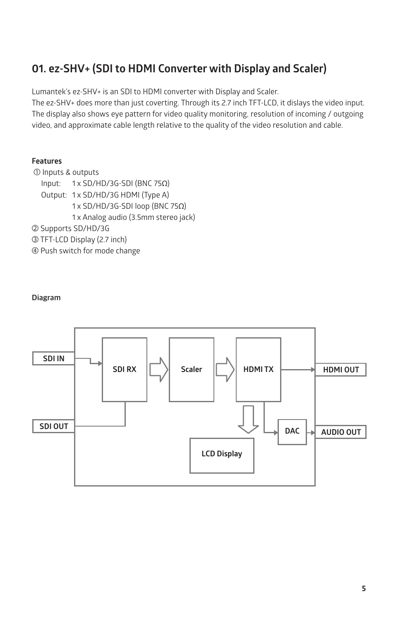### **01. ez-SHV+ (SDI to HDMI Converter with Display and Scaler)**

Lumantek's ez-SHV+ is an SDI to HDMI converter with Display and Scaler.

The ez-SHV+ does more than just coverting. Through its 2.7 inch TFT-LCD, it dislays the video input. The display also shows eye pattern for video quality monitoring, resolution of incoming / outgoing video, and approximate cable length relative to the quality of the video resolution and cable.

### **Features**

① Inputs & outputs Input: 1 x SD/HD/3G-SDI (BNC 75Ω) Output: 1 x SD/HD/3G HDMI (Type A) 1 x SD/HD/3G-SDI loop (BNC 75Ω) 1 x Analog audio (3.5mm stereo jack) ② Supports SD/HD/3G ③ TFT-LCD Display (2.7 inch) ④ Push switch for mode change

#### **Diagram**

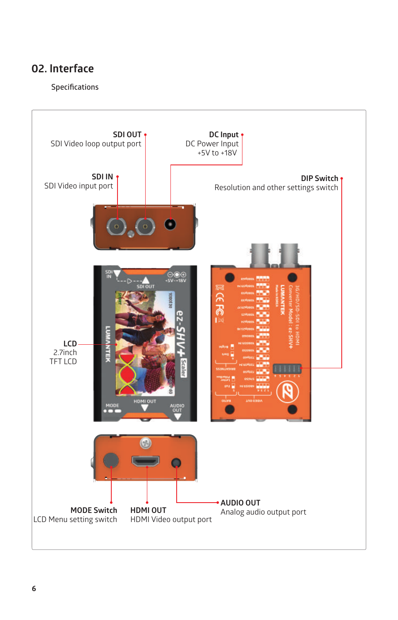### **Specifications**

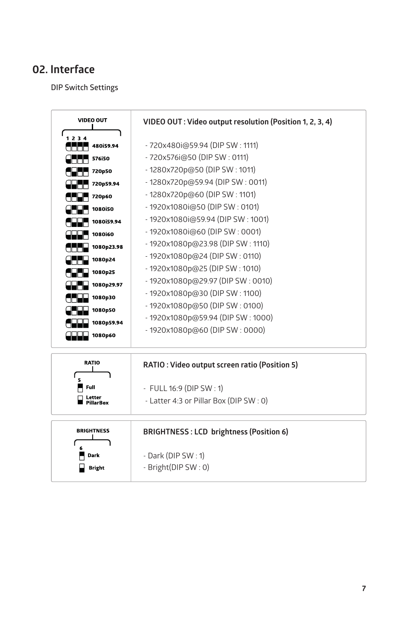**DIP Switch Settings**

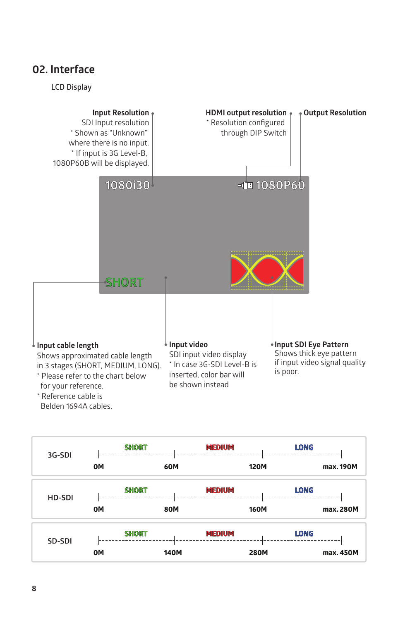#### **LCD Display**



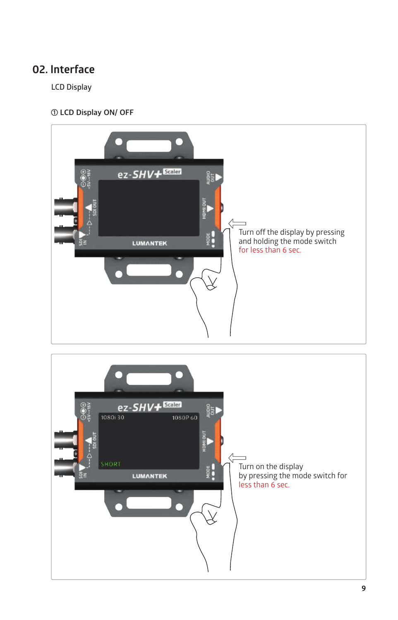**LCD Display**

### **① LCD Display ON/ OFF**



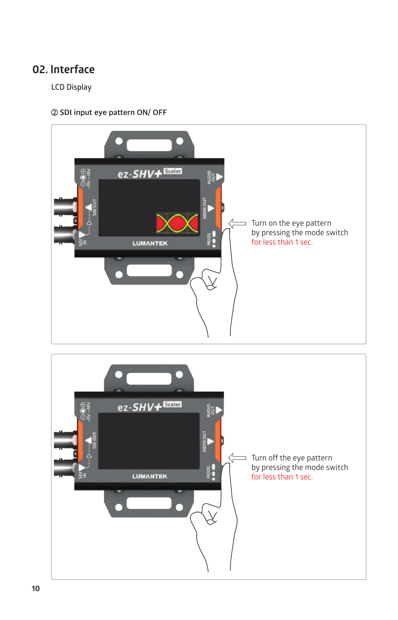**LCD Display**

**② SDI input eye pattern ON/ OFF**



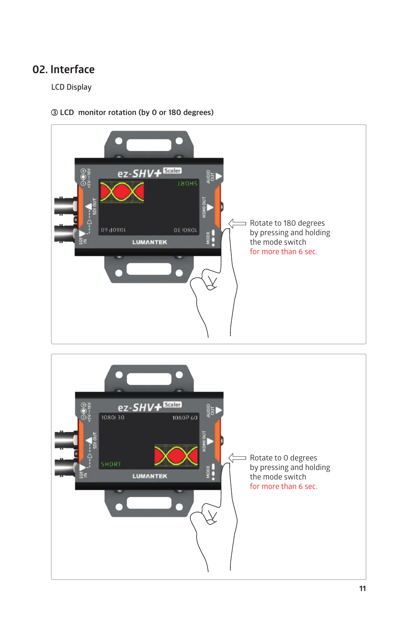### **LCD Display**



### **③ LCD monitor rotation (by 0 or 180 degrees)**

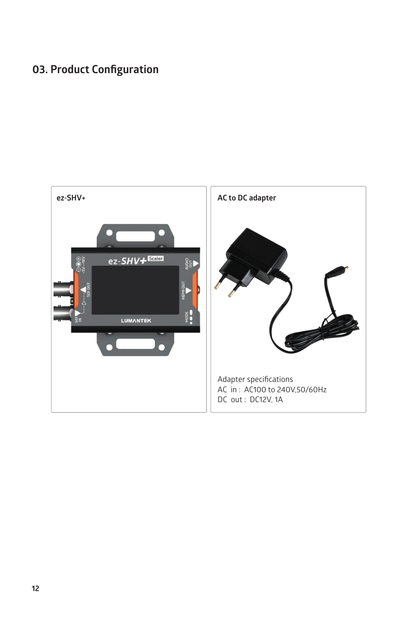### **03. Product Configuration**

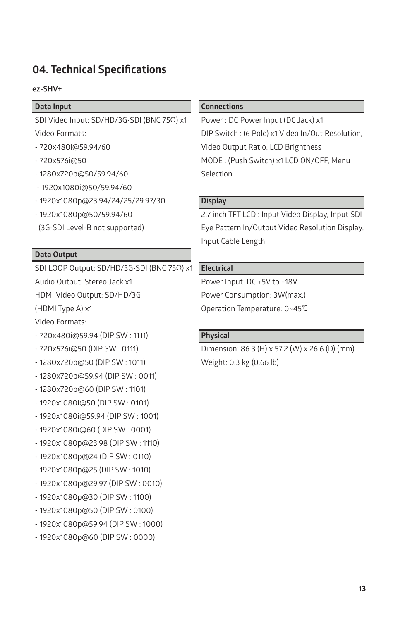### **04. Technical Specifications**

#### **ez-SHV+**

#### **Data Input**

SDI Video Input: SD/HD/3G-SDI (BNC 75Ω) x1 Video Formats:

- 720x480i@59.94/60
- 720x576i@50
- 1280x720p@50/59.94/60
- 1920x1080i@50/59.94/60
- 1920x1080p@23.94/24/25/29.97/30
- $-1920x1080n@50/59.94/60$
- (3G-SDI Level-B not supported)

#### **Data Output**

SDI LOOP Output: SD/HD/3G-SDI (BNC 75Ω) x1

Audio Output: Stereo Jack x1

HDMI Video Output: SD/HD/3G

(HDMI Type A) x1

Video Formats:

- 720x480i@59.94 (DIP SW : 1111)
- 720x576i@50 (DIP SW : 0111)
- 1280x720p@50 (DIP SW : 1011)
- 1280x720p@59.94 (DIP SW : 0011)
- 1280x720p@60 (DIP SW : 1101)
- 1920x1080i@50 (DIP SW : 0101)
- 1920x1080i@59.94 (DIP SW : 1001)
- 1920x1080i@60 (DIP SW : 0001)
- 1920x1080p@23.98 (DIP SW : 1110)
- 1920x1080p@24 (DIP SW : 0110)
- 1920x1080p@25 (DIP SW : 1010)
- 1920x1080p@29.97 (DIP SW : 0010)
- 1920x1080p@30 (DIP SW : 1100)
- 1920x1080p@50 (DIP SW : 0100)
- 1920x1080p@59.94 (DIP SW : 1000)
- 1920x1080p@60 (DIP SW : 0000)

#### **Connections**

Power : DC Power Input (DC Jack) x1 DIP Switch : (6 Pole) x1 Video In/Out Resolution, Video Output Ratio, LCD Brightness MODE : (Push Switch) x1 LCD ON/OFF, Menu Selection

### **Display**

2.7 inch TFT LCD : Input Video Display, Input SDI Eye Pattern,In/Output Video Resolution Display, Input Cable Length

#### **Electrical**

Power Input: DC +5V to +18V Power Consumption: 3W(max.) Operation Temperature: 0~45℃

#### **Physical**

Dimension: 86.3 (H) x 57.2 (W) x 26.6 (D) (mm) Weight: 0.3 kg (0.66 lb)